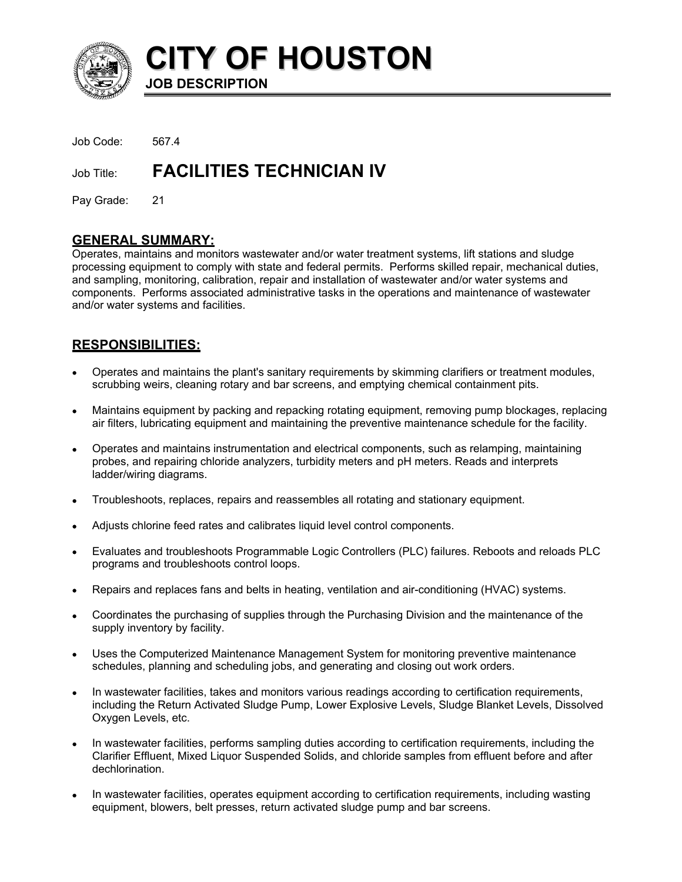

**CITY OF HOUSTON JOB DESCRIPTION** 

Job Code: 567.4

Job Title: **FACILITIES TECHNICIAN IV** 

Pay Grade: 21

## **GENERAL SUMMARY:**

Operates, maintains and monitors wastewater and/or water treatment systems, lift stations and sludge processing equipment to comply with state and federal permits. Performs skilled repair, mechanical duties, and sampling, monitoring, calibration, repair and installation of wastewater and/or water systems and components. Performs associated administrative tasks in the operations and maintenance of wastewater and/or water systems and facilities.

# **RESPONSIBILITIES:**

- Operates and maintains the plant's sanitary requirements by skimming clarifiers or treatment modules, scrubbing weirs, cleaning rotary and bar screens, and emptying chemical containment pits. •
- Maintains equipment by packing and repacking rotating equipment, removing pump blockages, replacing air filters, lubricating equipment and maintaining the preventive maintenance schedule for the facility.
- Operates and maintains instrumentation and electrical components, such as relamping, maintaining probes, and repairing chloride analyzers, turbidity meters and pH meters. Reads and interprets ladder/wiring diagrams.
- Troubleshoots, replaces, repairs and reassembles all rotating and stationary equipment.
- Adjusts chlorine feed rates and calibrates liquid level control components.
- Evaluates and troubleshoots Programmable Logic Controllers (PLC) failures. Reboots and reloads PLC programs and troubleshoots control loops.
- Repairs and replaces fans and belts in heating, ventilation and air-conditioning (HVAC) systems.
- Coordinates the purchasing of supplies through the Purchasing Division and the maintenance of the supply inventory by facility.
- Uses the Computerized Maintenance Management System for monitoring preventive maintenance schedules, planning and scheduling jobs, and generating and closing out work orders.
- In wastewater facilities, takes and monitors various readings according to certification requirements, including the Return Activated Sludge Pump, Lower Explosive Levels, Sludge Blanket Levels, Dissolved Oxygen Levels, etc.
- In wastewater facilities, performs sampling duties according to certification requirements, including the Clarifier Effluent, Mixed Liquor Suspended Solids, and chloride samples from effluent before and after dechlorination.
- In wastewater facilities, operates equipment according to certification requirements, including wasting equipment, blowers, belt presses, return activated sludge pump and bar screens.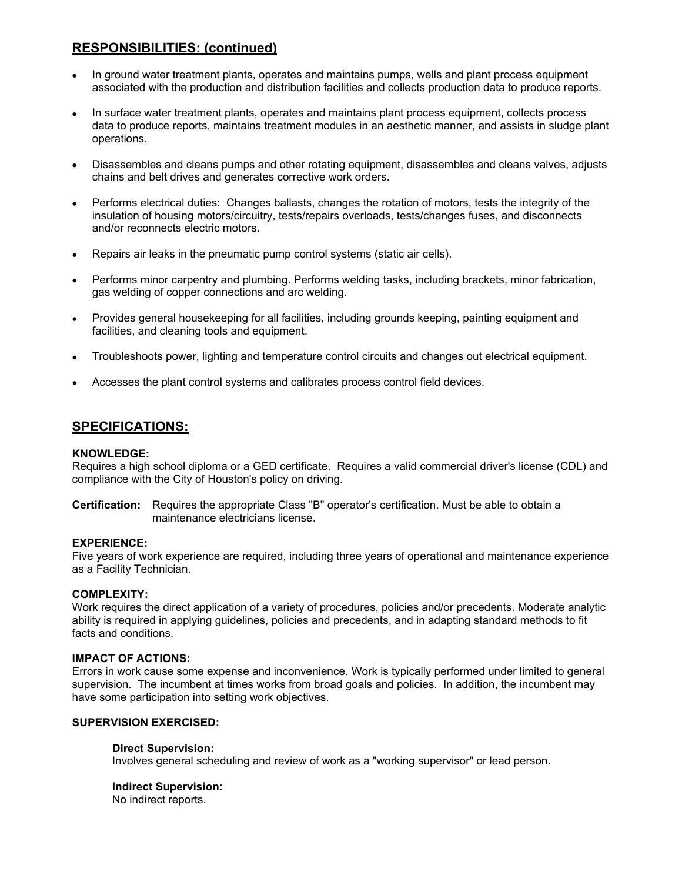# **RESPONSIBILITIES: (continued)**

- In ground water treatment plants, operates and maintains pumps, wells and plant process equipment associated with the production and distribution facilities and collects production data to produce reports.
- In surface water treatment plants, operates and maintains plant process equipment, collects process data to produce reports, maintains treatment modules in an aesthetic manner, and assists in sludge plant operations.
- Disassembles and cleans pumps and other rotating equipment, disassembles and cleans valves, adjusts chains and belt drives and generates corrective work orders.
- Performs electrical duties: Changes ballasts, changes the rotation of motors, tests the integrity of the insulation of housing motors/circuitry, tests/repairs overloads, tests/changes fuses, and disconnects and/or reconnects electric motors.
- Repairs air leaks in the pneumatic pump control systems (static air cells).
- Performs minor carpentry and plumbing. Performs welding tasks, including brackets, minor fabrication, gas welding of copper connections and arc welding.
- Provides general housekeeping for all facilities, including grounds keeping, painting equipment and facilities, and cleaning tools and equipment.
- Troubleshoots power, lighting and temperature control circuits and changes out electrical equipment.
- Accesses the plant control systems and calibrates process control field devices.

## **SPECIFICATIONS:**

#### **KNOWLEDGE:**

Requires a high school diploma or a GED certificate. Requires a valid commercial driver's license (CDL) and compliance with the City of Houston's policy on driving.

**Certification:** Requires the appropriate Class "B" operator's certification. Must be able to obtain a maintenance electricians license.

#### **EXPERIENCE:**

Five years of work experience are required, including three years of operational and maintenance experience as a Facility Technician.

#### **COMPLEXITY:**

Work requires the direct application of a variety of procedures, policies and/or precedents. Moderate analytic ability is required in applying guidelines, policies and precedents, and in adapting standard methods to fit facts and conditions.

#### **IMPACT OF ACTIONS:**

Errors in work cause some expense and inconvenience. Work is typically performed under limited to general supervision. The incumbent at times works from broad goals and policies. In addition, the incumbent may have some participation into setting work objectives.

### **SUPERVISION EXERCISED:**

#### **Direct Supervision:**

Involves general scheduling and review of work as a "working supervisor" or lead person.

#### **Indirect Supervision:**

No indirect reports.